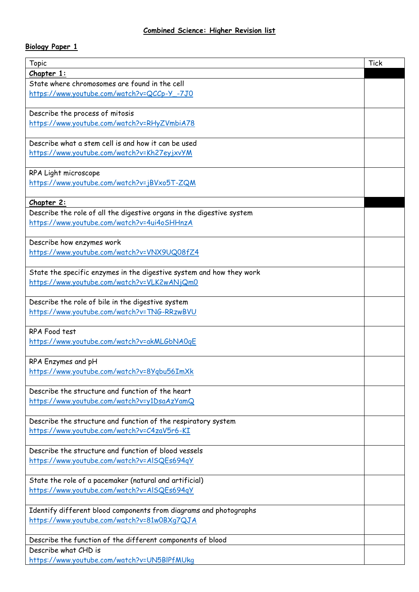## **Biology Paper 1**

| Topic                                                                 | <b>Tick</b> |
|-----------------------------------------------------------------------|-------------|
| Chapter 1:                                                            |             |
| State where chromosomes are found in the cell                         |             |
| https://www.youtube.com/watch?v=QCCp-Y_-7J0                           |             |
|                                                                       |             |
| Describe the process of mitosis                                       |             |
| https://www.youtube.com/watch?v=RHyZVmbiA78                           |             |
|                                                                       |             |
| Describe what a stem cell is and how it can be used                   |             |
| https://www.youtube.com/watch?v=Kh27eyjxvYM                           |             |
|                                                                       |             |
| RPA Light microscope                                                  |             |
|                                                                       |             |
| https://www.youtube.com/watch?v=jBVxo5T-ZQM                           |             |
|                                                                       |             |
| Chapter 2:                                                            |             |
| Describe the role of all the digestive organs in the digestive system |             |
| https://www.youtube.com/watch?v=4ui4oSHHnzA                           |             |
|                                                                       |             |
| Describe how enzymes work                                             |             |
| https://www.youtube.com/watch?v=VNX9UQ08fZ4                           |             |
|                                                                       |             |
| State the specific enzymes in the digestive system and how they work  |             |
| https://www.youtube.com/watch?v=VLK2wANjQm0                           |             |
|                                                                       |             |
| Describe the role of bile in the digestive system                     |             |
| https://www.youtube.com/watch?v=TNG-RRzwBVU                           |             |
|                                                                       |             |
| RPA Food test                                                         |             |
| https://www.youtube.com/watch?v=akMLGbNA0qE                           |             |
|                                                                       |             |
| RPA Enzymes and pH                                                    |             |
| https://www.youtube.com/watch?v=8Yqbu56ImXk                           |             |
|                                                                       |             |
| Describe the structure and function of the heart                      |             |
| https://www.youtube.com/watch?v=y1DsaAzYamQ                           |             |
|                                                                       |             |
| Describe the structure and function of the respiratory system         |             |
| https://www.youtube.com/watch?v=C4zaV5r6-KI                           |             |
|                                                                       |             |
| Describe the structure and function of blood vessels                  |             |
| https://www.youtube.com/watch?v=AlSQEs694qY                           |             |
|                                                                       |             |
|                                                                       |             |
| State the role of a pacemaker (natural and artificial)                |             |
| https://www.youtube.com/watch?v=AlSQEs694qY                           |             |
|                                                                       |             |
| Identify different blood components from diagrams and photographs     |             |
| https://www.youtube.com/watch?v=81w0BXq7QJA                           |             |
|                                                                       |             |
| Describe the function of the different components of blood            |             |
| Describe what CHD is                                                  |             |
| https://www.youtube.com/watch?v=UN5BIPfMUkg                           |             |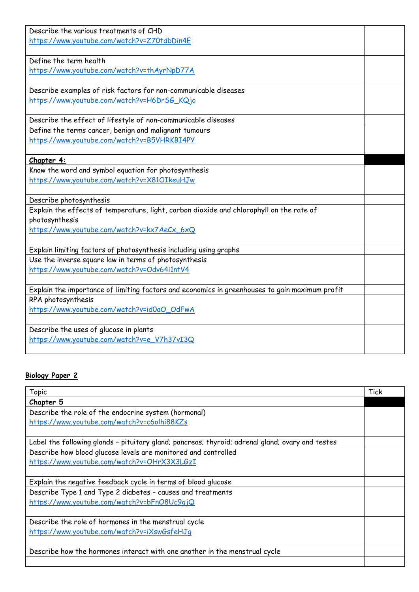| Describe the various treatments of CHD                                                         |  |
|------------------------------------------------------------------------------------------------|--|
| https://www.youtube.com/watch?v=Z70tdbDin4E                                                    |  |
|                                                                                                |  |
| Define the term health                                                                         |  |
| https://www.youtube.com/watch?v=thAyrNpD77A                                                    |  |
|                                                                                                |  |
| Describe examples of risk factors for non-communicable diseases                                |  |
| https://www.youtube.com/watch?v=H6DrSG_KQjo                                                    |  |
|                                                                                                |  |
| Describe the effect of lifestyle of non-communicable diseases                                  |  |
| Define the terms cancer, benign and malignant tumours                                          |  |
| https://www.youtube.com/watch?v=B5VHRKBI4PY                                                    |  |
|                                                                                                |  |
| Chapter 4:                                                                                     |  |
| Know the word and symbol equation for photosynthesis                                           |  |
| https://www.youtube.com/watch?v=X81OIkeuHJw                                                    |  |
|                                                                                                |  |
| Describe photosynthesis                                                                        |  |
| Explain the effects of temperature, light, carbon dioxide and chlorophyll on the rate of       |  |
| photosynthesis                                                                                 |  |
| https://www.youtube.com/watch?v=kx7AeCx_6xQ                                                    |  |
|                                                                                                |  |
| Explain limiting factors of photosynthesis including using graphs                              |  |
| Use the inverse square law in terms of photosynthesis                                          |  |
| https://www.youtube.com/watch?v=Odv64i1ntV4                                                    |  |
|                                                                                                |  |
| Explain the importance of limiting factors and economics in greenhouses to gain maximum profit |  |
| RPA photosynthesis                                                                             |  |
| https://www.youtube.com/watch?v=id0aO_OdFwA                                                    |  |
|                                                                                                |  |
| Describe the uses of glucose in plants<br>https://www.youtube.com/watch?v=e_V7h37vI3Q          |  |
|                                                                                                |  |
|                                                                                                |  |

## **Biology Paper 2**

| <b>Topic</b>                                                                                     | <b>Tick</b> |
|--------------------------------------------------------------------------------------------------|-------------|
| Chapter 5                                                                                        |             |
| Describe the role of the endocrine system (hormonal)                                             |             |
| https://www.youtube.com/watch?v=c6olhi88KZs                                                      |             |
|                                                                                                  |             |
| Label the following glands - pituitary gland; pancreas; thyroid; adrenal gland; ovary and testes |             |
| Describe how blood glucose levels are monitored and controlled                                   |             |
| https://www.youtube.com/watch?v=OHrX3X3LGzI                                                      |             |
|                                                                                                  |             |
| Explain the negative feedback cycle in terms of blood glucose                                    |             |
| Describe Type 1 and Type 2 diabetes - causes and treatments                                      |             |
| https://www.youtube.com/watch?v=bFnO8Uc9qjQ                                                      |             |
|                                                                                                  |             |
| Describe the role of hormones in the menstrual cycle                                             |             |
| https://www.youtube.com/watch?v=iXswGsfeHJq                                                      |             |
|                                                                                                  |             |
| Describe how the hormones interact with one another in the menstrual cycle                       |             |
|                                                                                                  |             |